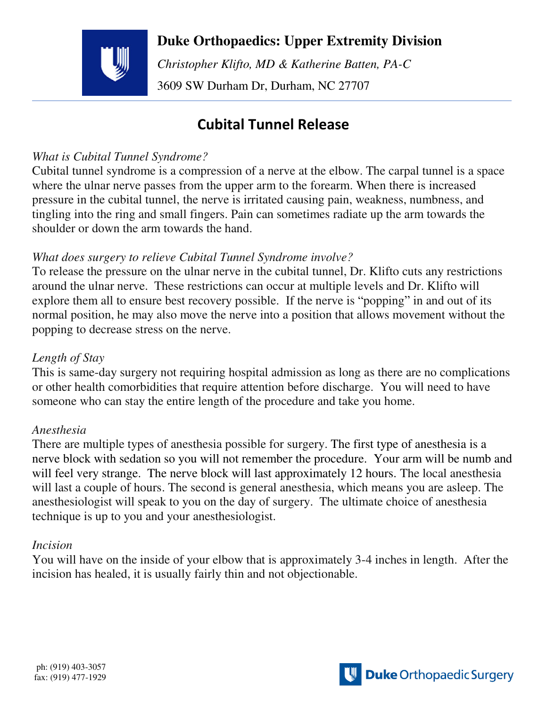**Duke Orthopaedics: Upper Extremity Division**

 *Christopher Klifto, MD & Katherine Batten, PA-C*  3609 SW Durham Dr, Durham, NC 27707

# **Cubital Tunnel Release**

## *What is Cubital Tunnel Syndrome?*

Cubital tunnel syndrome is a compression of a nerve at the elbow. The carpal tunnel is a space where the ulnar nerve passes from the upper arm to the forearm. When there is increased pressure in the cubital tunnel, the nerve is irritated causing pain, weakness, numbness, and tingling into the ring and small fingers. Pain can sometimes radiate up the arm towards the shoulder or down the arm towards the hand.

## *What does surgery to relieve Cubital Tunnel Syndrome involve?*

To release the pressure on the ulnar nerve in the cubital tunnel, Dr. Klifto cuts any restrictions around the ulnar nerve. These restrictions can occur at multiple levels and Dr. Klifto will explore them all to ensure best recovery possible. If the nerve is "popping" in and out of its normal position, he may also move the nerve into a position that allows movement without the popping to decrease stress on the nerve.

## *Length of Stay*

This is same-day surgery not requiring hospital admission as long as there are no complications or other health comorbidities that require attention before discharge. You will need to have someone who can stay the entire length of the procedure and take you home.

## *Anesthesia*

There are multiple types of anesthesia possible for surgery. The first type of anesthesia is a nerve block with sedation so you will not remember the procedure. Your arm will be numb and will feel very strange. The nerve block will last approximately 12 hours. The local anesthesia will last a couple of hours. The second is general anesthesia, which means you are asleep. The anesthesiologist will speak to you on the day of surgery. The ultimate choice of anesthesia technique is up to you and your anesthesiologist.

## *Incision*

You will have on the inside of your elbow that is approximately 3-4 inches in length. After the incision has healed, it is usually fairly thin and not objectionable.